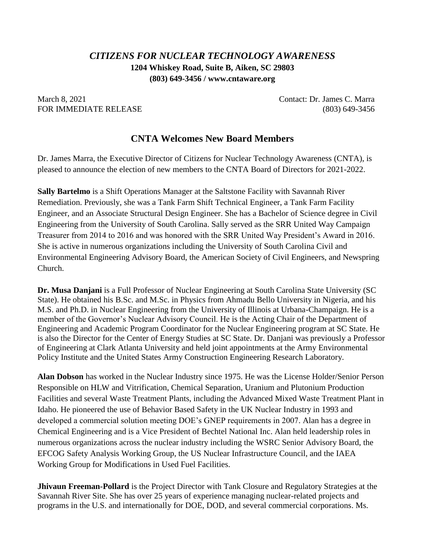## *CITIZENS FOR NUCLEAR TECHNOLOGY AWARENESS* **1204 Whiskey Road, Suite B, Aiken, SC 29803 (803) 649-3456 / www.cntaware.org**

March 8, 2021 **Contact: Dr. James C. Marra** FOR IMMEDIATE RELEASE (803) 649-3456

## **CNTA Welcomes New Board Members**

Dr. James Marra, the Executive Director of Citizens for Nuclear Technology Awareness (CNTA), is pleased to announce the election of new members to the CNTA Board of Directors for 2021-2022.

**Sally Bartelmo** is a Shift Operations Manager at the Saltstone Facility with Savannah River Remediation. Previously, she was a Tank Farm Shift Technical Engineer, a Tank Farm Facility Engineer, and an Associate Structural Design Engineer. She has a Bachelor of Science degree in Civil Engineering from the University of South Carolina. Sally served as the SRR United Way Campaign Treasurer from 2014 to 2016 and was honored with the SRR United Way President's Award in 2016. She is active in numerous organizations including the University of South Carolina Civil and Environmental Engineering Advisory Board, the American Society of Civil Engineers, and Newspring Church.

**Dr. Musa Danjani** is a Full Professor of Nuclear Engineering at South Carolina State University (SC State). He obtained his B.Sc. and M.Sc. in Physics from Ahmadu Bello University in Nigeria, and his M.S. and Ph.D. in Nuclear Engineering from the University of Illinois at Urbana-Champaign. He is a member of the Governor's Nuclear Advisory Council. He is the Acting Chair of the Department of Engineering and Academic Program Coordinator for the Nuclear Engineering program at SC State. He is also the Director for the Center of Energy Studies at SC State. Dr. Danjani was previously a Professor of Engineering at Clark Atlanta University and held joint appointments at the Army Environmental Policy Institute and the United States Army Construction Engineering Research Laboratory.

**Alan Dobson** has worked in the Nuclear Industry since 1975. He was the License Holder/Senior Person Responsible on HLW and Vitrification, Chemical Separation, Uranium and Plutonium Production Facilities and several Waste Treatment Plants, including the Advanced Mixed Waste Treatment Plant in Idaho. He pioneered the use of Behavior Based Safety in the UK Nuclear Industry in 1993 and developed a commercial solution meeting DOE's GNEP requirements in 2007. Alan has a degree in Chemical Engineering and is a Vice President of Bechtel National Inc. Alan held leadership roles in numerous organizations across the nuclear industry including the WSRC Senior Advisory Board, the EFCOG Safety Analysis Working Group, the US Nuclear Infrastructure Council, and the IAEA Working Group for Modifications in Used Fuel Facilities.

**Jhivaun Freeman-Pollard** is the Project Director with Tank Closure and Regulatory Strategies at the Savannah River Site. She has over 25 years of experience managing nuclear-related projects and programs in the U.S. and internationally for DOE, DOD, and several commercial corporations. Ms.